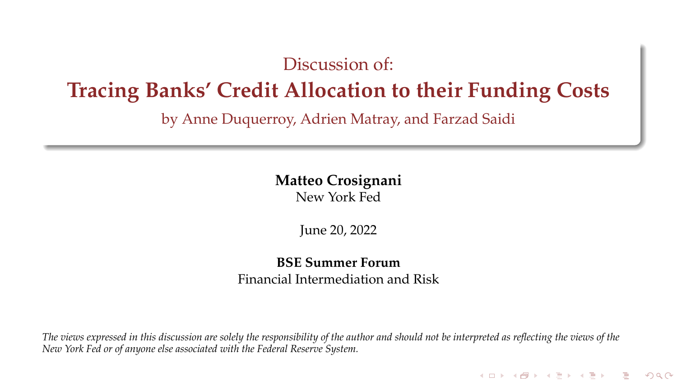#### Discussion of:

#### **Tracing Banks' Credit Allocation to their Funding Costs**

by Anne Duquerroy, Adrien Matray, and Farzad Saidi

#### **Matteo Crosignani**

New York Fed

June 20, 2022

#### **BSE Summer Forum** Financial Intermediation and Risk

*The views expressed in this discussion are solely the responsibility of the author and should not be interpreted as reflecting the views of the New York Fed or of anyone else associated with the Federal Reserve System.*

メロト メタト メミト メミト 一番

 $2Q$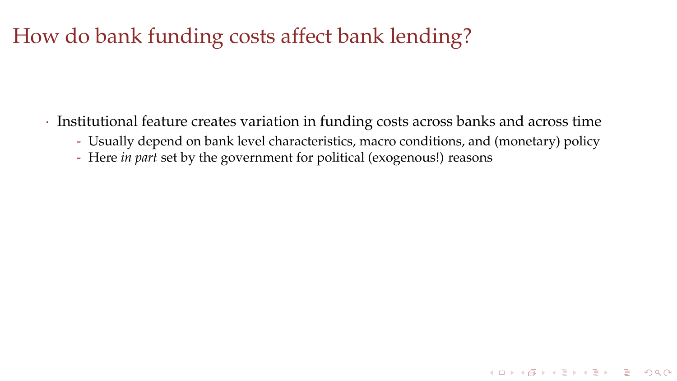## How do bank funding costs affect bank lending?

- · Institutional feature creates variation in funding costs across banks and across time
	- Usually depend on bank level characteristics, macro conditions, and (monetary) policy

KID KAR KE KE KE BI DAG

- Here *in part* set by the government for political (exogenous!) reasons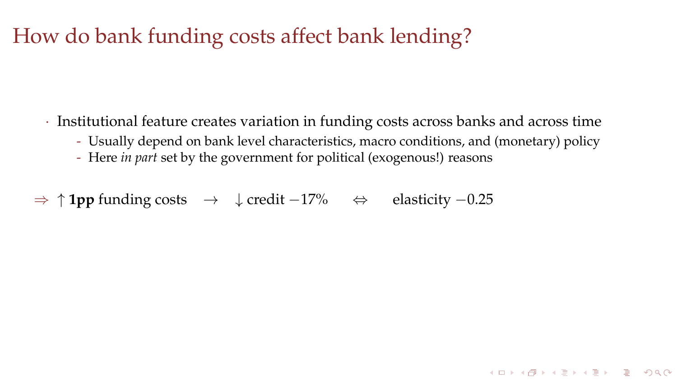## How do bank funding costs affect bank lending?

- · Institutional feature creates variation in funding costs across banks and across time
	- Usually depend on bank level characteristics, macro conditions, and (monetary) policy

**KORKARRICH ER VOOR** 

- Here *in part* set by the government for political (exogenous!) reasons
- ⇒ ↑ **1pp** funding costs → ↓ credit −17% ⇔ elasticity −0.25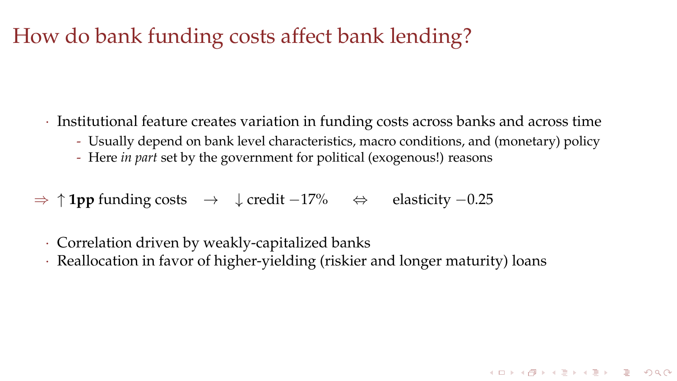## How do bank funding costs affect bank lending?

- · Institutional feature creates variation in funding costs across banks and across time
	- Usually depend on bank level characteristics, macro conditions, and (monetary) policy

**KORKARRICH ER VOOR** 

- Here *in part* set by the government for political (exogenous!) reasons
- ⇒ ↑ **1pp** funding costs → ↓ credit −17% ⇔ elasticity −0.25
	- · Correlation driven by weakly-capitalized banks
	- · Reallocation in favor of higher-yielding (riskier and longer maturity) loans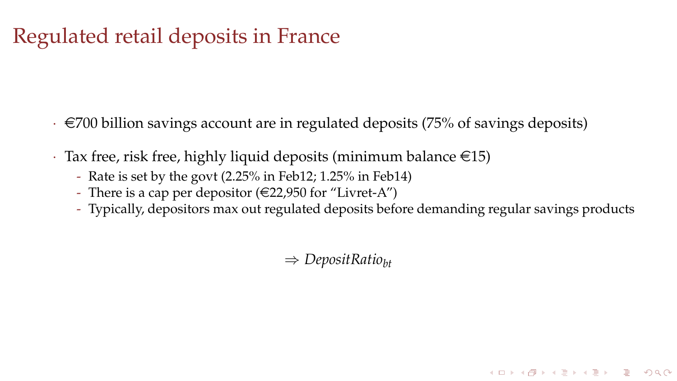## Regulated retail deposits in France

- $\cdot \in$  700 billion savings account are in regulated deposits (75% of savings deposits)
- $\cdot$  Tax free, risk free, highly liquid deposits (minimum balance  $\in$ 15)
	- Rate is set by the govt (2.25% in Feb12; 1.25% in Feb14)
	- There is a cap per depositor  $(\in22,950$  for "Livret-A")
	- Typically, depositors max out regulated deposits before demanding regular savings products

**KORKARRICH ER VOOR** 

⇒ *DepositRatiobt*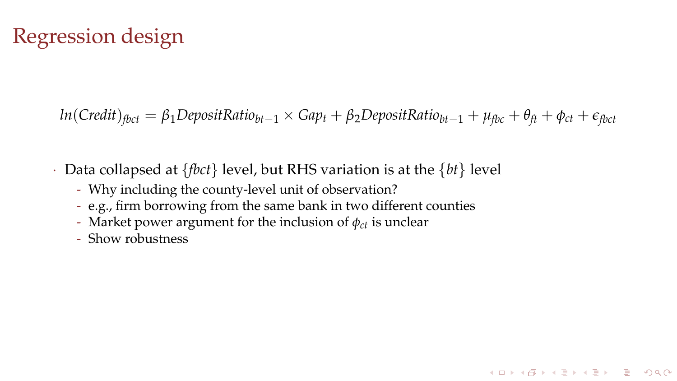## Regression design

*ln*(*Credit*)<sub>*fbct*</sub> = *β*<sub>1</sub>DepositRatio<sub>*bt*−1</sub> × *Gap<sub>t</sub>* + *β*<sub>2</sub>DepositRatio<sub>*bt*−1</sub> + *μ*<sub>*fbc</sub>* + *θ*<sub>*ft*</sub> + *θ*<sub>*ft*</sub> + *θ*<sub>*ft*</sub></sub>

K □ K K @ K K B X X B X D B X O Q Q Q

- · Data collapsed at {*fbct*} level, but RHS variation is at the {*bt*} level
	- Why including the county-level unit of observation?
	- e.g., firm borrowing from the same bank in two different counties
	- Market power argument for the inclusion of  $\phi_{ct}$  is unclear
	- Show robustness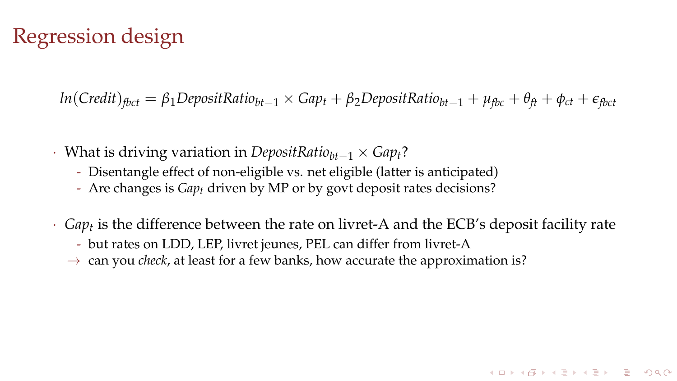#### Regression design

*ln*(*Credit*)<sub>*fhct*</sub> = *β*<sub>1</sub>DepositRatio<sub>*bt*−1</sub> × *Gap<sub>t</sub>* + *β*<sub>2</sub>DepositRatio<sub>*bt*−1</sub> + *μ*<sub>*fbc*</sub> + *θ*<sub>*ft*</sub> + *θ*<sub>*ft*</sub> + *e*<sub>*fbct*</sub>

- · What is driving variation in *DepositRatiobt*−<sup>1</sup> × *Gapt*?
	- Disentangle effect of non-eligible vs. net eligible (latter is anticipated)
	- Are changes is *Gapt* driven by MP or by govt deposit rates decisions?
- · *Gap<sup>t</sup>* is the difference between the rate on livret-A and the ECB's deposit facility rate

**KORKARRICH ER VOOR** 

- but rates on LDD, LEP, livret jeunes, PEL can differ from livret-A
- $\rightarrow$  can you *check*, at least for a few banks, how accurate the approximation is?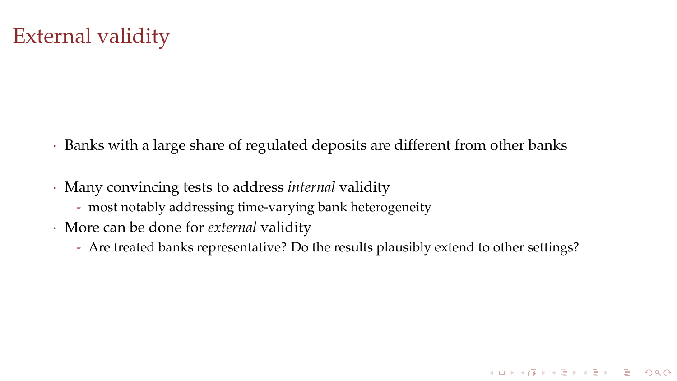## External validity

- · Banks with a large share of regulated deposits are different from other banks
- · Many convincing tests to address *internal* validity
	- most notably addressing time-varying bank heterogeneity
- · More can be done for *external* validity
	- Are treated banks representative? Do the results plausibly extend to other settings?

イロト (母) (ミ) (ミ) (ミ) ミーのQQ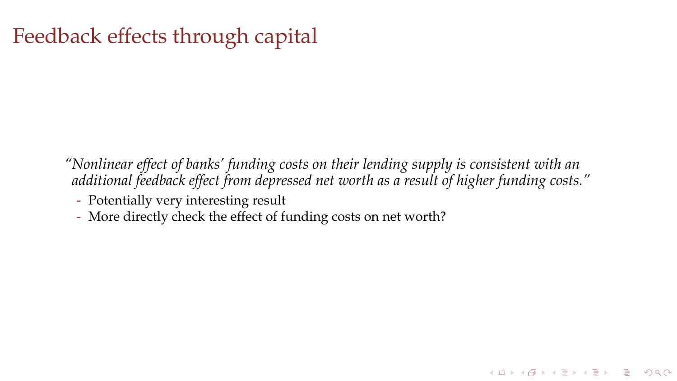## Feedback effects through capital

*"Nonlinear effect of banks' funding costs on their lending supply is consistent with an additional feedback effect from depressed net worth as a result of higher funding costs."*

イロト (母) (ミ) (ミ) (ミ) ミーのQQ

- Potentially very interesting result
- More directly check the effect of funding costs on net worth?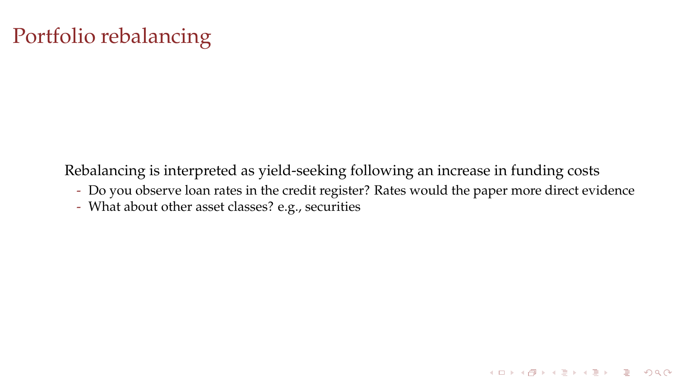# Portfolio rebalancing

Rebalancing is interpreted as yield-seeking following an increase in funding costs

- Do you observe loan rates in the credit register? Rates would the paper more direct evidence

イロト (母) (ミ) (ミ) (ミ) ミーのQQ

- What about other asset classes? e.g., securities